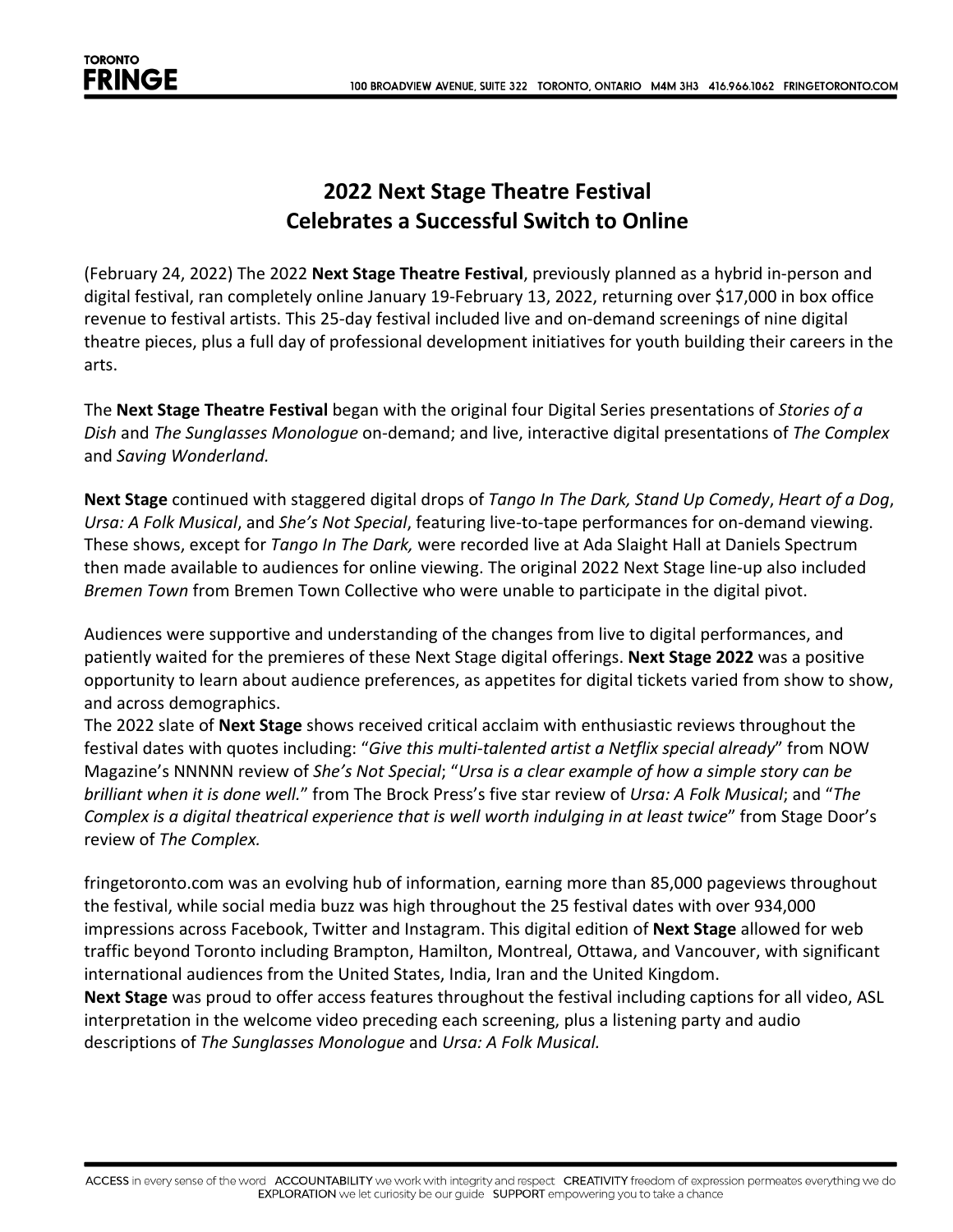## **2022 Next Stage Theatre Festival Celebrates a Successful Switch to Online**

(February 24, 2022) The 2022 **Next Stage Theatre Festival**, previously planned as a hybrid in-person and digital festival, ran completely online January 19-February 13, 2022, returning over \$17,000 in box office revenue to festival artists. This 25-day festival included live and on-demand screenings of nine digital theatre pieces, plus a full day of professional development initiatives for youth building their careers in the arts.

The **Next Stage Theatre Festival** began with the original four Digital Series presentations of *Stories of a Dish* and *The Sunglasses Monologue* on-demand; and live, interactive digital presentations of *The Complex* and *Saving Wonderland.*

**Next Stage** continued with staggered digital drops of *Tango In The Dark, Stand Up Comedy*, *Heart of a Dog*, *Ursa: A Folk Musical*, and *She's Not Special*, featuring live-to-tape performances for on-demand viewing. These shows, except for *Tango In The Dark,* were recorded live at Ada Slaight Hall at Daniels Spectrum then made available to audiences for online viewing. The original 2022 Next Stage line-up also included *Bremen Town* from Bremen Town Collective who were unable to participate in the digital pivot.

Audiences were supportive and understanding of the changes from live to digital performances, and patiently waited for the premieres of these Next Stage digital offerings. **Next Stage 2022** was a positive opportunity to learn about audience preferences, as appetites for digital tickets varied from show to show, and across demographics.

The 2022 slate of **Next Stage** shows received critical acclaim with enthusiastic reviews throughout the festival dates with quotes including: "*Give this multi-talented artist a Netflix special already*" from NOW Magazine's NNNNN review of *She's Not Special*; "*Ursa is a clear example of how a simple story can be brilliant when it is done well.*" from The Brock Press's five star review of *Ursa: A Folk Musical*; and "*The Complex is a digital theatrical experience that is well worth indulging in at least twice*" from Stage Door's review of *The Complex.*

fringetoronto.com was an evolving hub of information, earning more than 85,000 pageviews throughout the festival, while social media buzz was high throughout the 25 festival dates with over 934,000 impressions across Facebook, Twitter and Instagram. This digital edition of **Next Stage** allowed for web traffic beyond Toronto including Brampton, Hamilton, Montreal, Ottawa, and Vancouver, with significant international audiences from the United States, India, Iran and the United Kingdom.

**Next Stage** was proud to offer access features throughout the festival including captions for all video, ASL interpretation in the welcome video preceding each screening, plus a listening party and audio descriptions of *The Sunglasses Monologue* and *Ursa: A Folk Musical.*